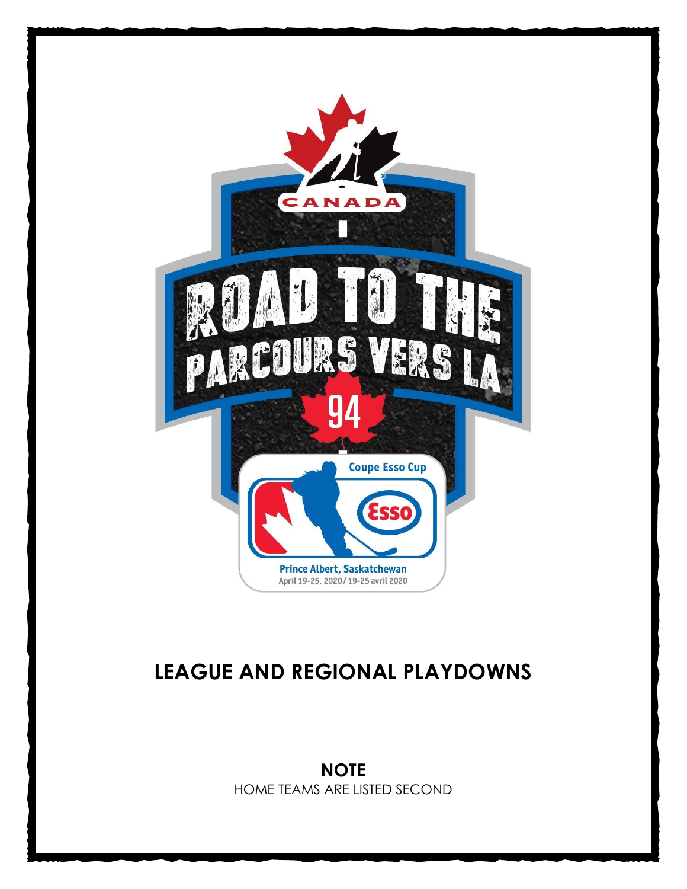

# **LEAGUE AND REGIONAL PLAYDOWNS**

**NOTE** HOME TEAMS ARE LISTED SECOND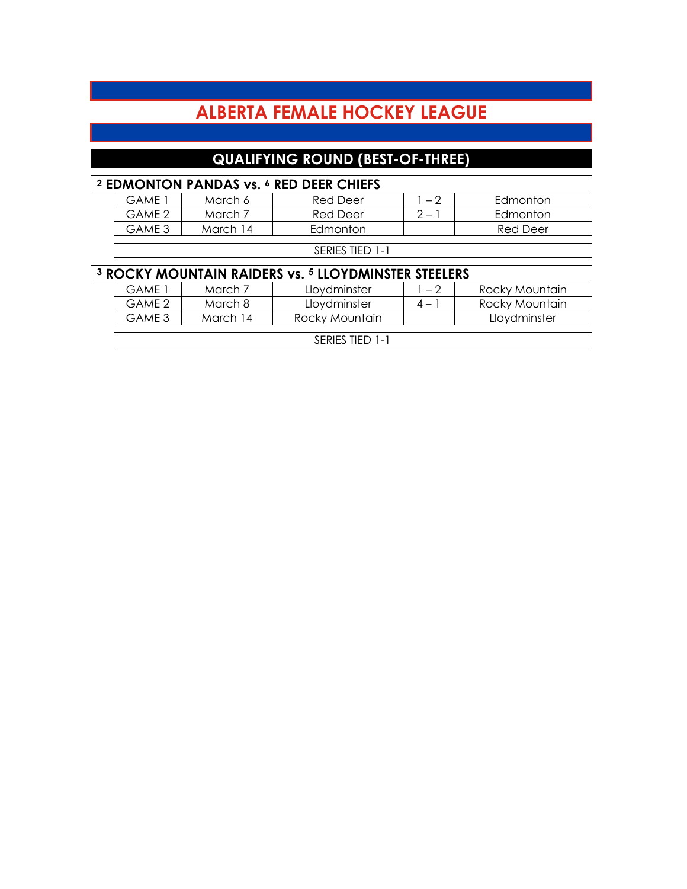## **ALBERTA FEMALE HOCKEY LEAGUE**

### **QUALIFYING ROUND (BEST-OF-THREE)**

|                                                                            | <sup>2</sup> EDMONTON PANDAS vs. <sup>6</sup> RED DEER CHIEFS |          |                 |         |                 |  |  |
|----------------------------------------------------------------------------|---------------------------------------------------------------|----------|-----------------|---------|-----------------|--|--|
|                                                                            | <b>GAME 1</b>                                                 | March 6  | <b>Red Deer</b> | $1 - 2$ | Edmonton        |  |  |
|                                                                            | GAME 2                                                        | March 7  | <b>Red Deer</b> | $2 - 1$ | Edmonton        |  |  |
|                                                                            | GAME 3                                                        | March 14 | Edmonton        |         | <b>Red Deer</b> |  |  |
|                                                                            |                                                               |          | SERIES TIED 1-1 |         |                 |  |  |
|                                                                            |                                                               |          |                 |         |                 |  |  |
| <sup>3</sup> ROCKY MOUNTAIN RAIDERS vs. <sup>5</sup> LLOYDMINSTER STEELERS |                                                               |          |                 |         |                 |  |  |
|                                                                            |                                                               |          |                 |         |                 |  |  |
|                                                                            | <b>GAME 1</b>                                                 | March 7  | Lloydminster    | $1 - 2$ | Rocky Mountain  |  |  |
|                                                                            | GAME 2                                                        | March 8  | Lloydminster    | $4 - 1$ | Rocky Mountain  |  |  |
|                                                                            | GAME 3                                                        | March 14 | Rocky Mountain  |         | Lloydminster    |  |  |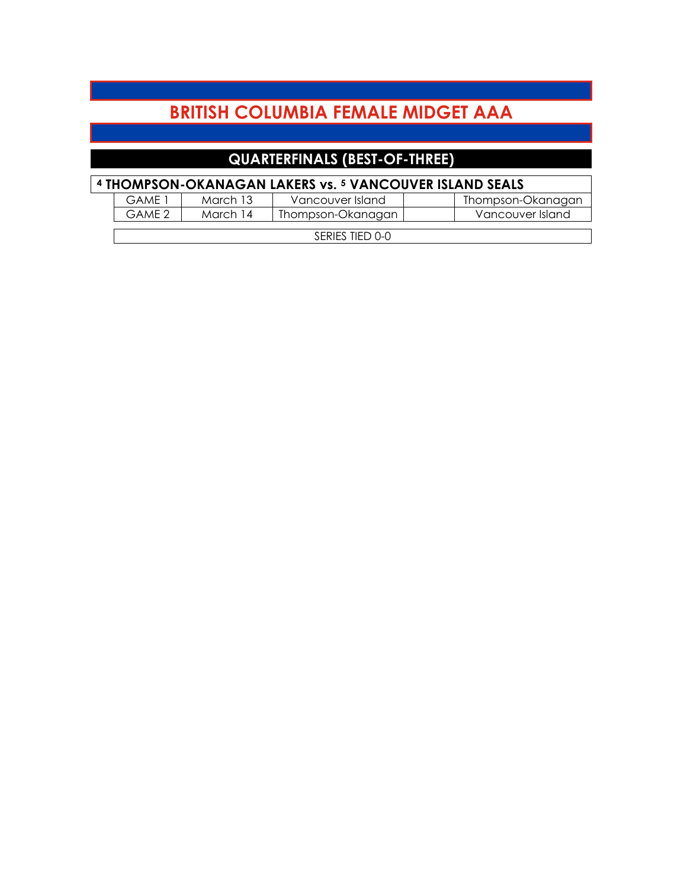## **BRITISH COLUMBIA FEMALE MIDGET AAA**

### **QUARTERFINALS (BEST-OF-THREE)**

| <sup>4</sup> THOMPSON-OKANAGAN LAKERS vs. <sup>5</sup> VANCOUVER ISLAND SEALS |  |
|-------------------------------------------------------------------------------|--|
|-------------------------------------------------------------------------------|--|

|  | GAMF 1          | March 13 | Vancouver Island  |  | Thompson-Okanagan |  |  |
|--|-----------------|----------|-------------------|--|-------------------|--|--|
|  | GAME 2          | March 14 | Thompson-Okanagan |  | Vancouver Island  |  |  |
|  |                 |          |                   |  |                   |  |  |
|  | SERIES TIED 0-0 |          |                   |  |                   |  |  |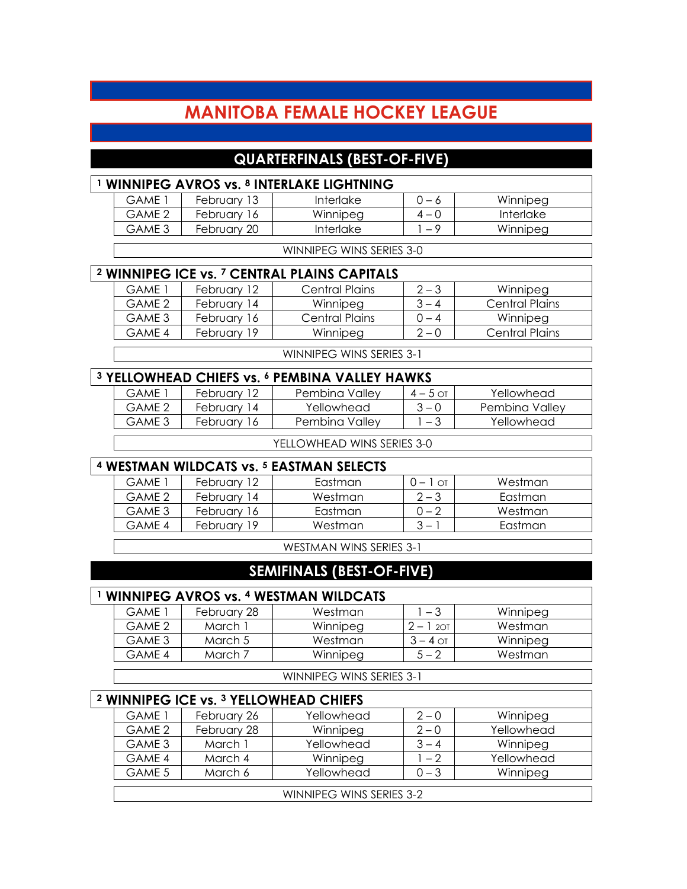### **MANITOBA FEMALE HOCKEY LEAGUE**

#### **QUARTERFINALS (BEST-OF-FIVE)**

| <sup>1</sup> WINNIPEG AVROS vs. <sup>8</sup> INTERLAKE LIGHTNING |             |                                                                    |            |                       |  |
|------------------------------------------------------------------|-------------|--------------------------------------------------------------------|------------|-----------------------|--|
| <b>GAME 1</b>                                                    | February 13 | <b>Interlake</b>                                                   | $0 - 6$    | Winnipeg              |  |
| GAME <sub>2</sub>                                                | February 16 | Winnipeg                                                           | $4 - 0$    | Interlake             |  |
| GAME <sub>3</sub>                                                | February 20 | Interlake                                                          | $1 - 9$    | Winnipeg              |  |
|                                                                  |             | WINNIPEG WINS SERIES 3-0                                           |            |                       |  |
|                                                                  |             | <sup>2</sup> WINNIPEG ICE vs. <sup>7</sup> CENTRAL PLAINS CAPITALS |            |                       |  |
| GAME 1                                                           | February 12 | <b>Central Plains</b>                                              | $2 - 3$    | Winnipeg              |  |
| GAME <sub>2</sub>                                                | February 14 | Winnipeg                                                           | $3 - 4$    | <b>Central Plains</b> |  |
| GAME <sub>3</sub>                                                | February 16 | <b>Central Plains</b>                                              | $0 - 4$    | Winnipeg              |  |
| GAME 4                                                           | February 19 | Winnipeg                                                           | $2 - 0$    | <b>Central Plains</b> |  |
|                                                                  |             | WINNIPEG WINS SERIES 3-1                                           |            |                       |  |
|                                                                  |             | <sup>3</sup> YELLOWHEAD CHIEFS vs. 6 PEMBINA VALLEY HAWKS          |            |                       |  |
| GAME 1                                                           | February 12 | Pembina Valley                                                     | $4 - 5$ ot | Yellowhead            |  |
| GAME <sub>2</sub>                                                | February 14 | Yellowhead                                                         | $3 - 0$    | Pembina Valley        |  |
| GAME <sub>3</sub>                                                | February 16 | Pembina Valley                                                     | $1 - 3$    | Yellowhead            |  |
|                                                                  |             | YELLOWHEAD WINS SERIES 3-0                                         |            |                       |  |
|                                                                  |             | <sup>4</sup> WESTMAN WILDCATS vs. <sup>5</sup> EASTMAN SELECTS     |            |                       |  |
| <b>GAME 1</b>                                                    | February 12 | Eastman                                                            | $0 - 1$ or | Westman               |  |

| <u>WESHWAN WILDUAIS VS. " EASHWAN SELECTS</u> |             |         |            |         |  |  |  |
|-----------------------------------------------|-------------|---------|------------|---------|--|--|--|
| GAMF 1                                        | February 12 | Eastman | $0 - 1$ ot | Westman |  |  |  |
| GAME 2                                        | February 14 | Westman | $2 - 3$    | Eastman |  |  |  |
| GAME 3                                        | February 16 | Eastman | በ – 2      | Westman |  |  |  |
| GAME 4                                        | February 19 | Westman | $3 -$      | Eastman |  |  |  |

WESTMAN WINS SERIES 3-1

#### **SEMIFINALS (BEST-OF-FIVE)**

#### **<sup>1</sup> WINNIPEG AVROS vs. <sup>4</sup> WESTMAN WILDCATS**

| GAME 1 | February 28 | Westman  | - 3        | Winnipeg |
|--------|-------------|----------|------------|----------|
| GAMF 2 | March ì     | Winnipeg | $2 - 1201$ | Westman  |
| GAME 3 | March 5     | Westman  | 3 – 4 ਨਾ   | Winnipeg |
| GAMF 4 | March 7     | Winnipeg | 5 — 2      | Westman  |
|        |             |          |            |          |

WINNIPEG WINS SERIES 3-1

| <sup>2</sup> WINNIPEG ICE vs. <sup>3</sup> YELLOWHEAD CHIEFS |             |            |         |            |  |  |  |
|--------------------------------------------------------------|-------------|------------|---------|------------|--|--|--|
| GAME 1                                                       | February 26 | Yellowhead | $2 - 0$ | Winnipeg   |  |  |  |
| GAME 2                                                       | February 28 | Winnipeg   | $2 - 0$ | Yellowhead |  |  |  |
| GAME 3                                                       | March 1     | Yellowhead | $3 - 4$ | Winnipeg   |  |  |  |
| GAME 4                                                       | March 4     | Winnipeg   | $1 - 2$ | Yellowhead |  |  |  |
| GAME 5                                                       | March 6     | Yellowhead | $0 - 3$ | Winnipeg   |  |  |  |
|                                                              |             |            |         |            |  |  |  |
| WINNIPEG WINS SERIES 3-2                                     |             |            |         |            |  |  |  |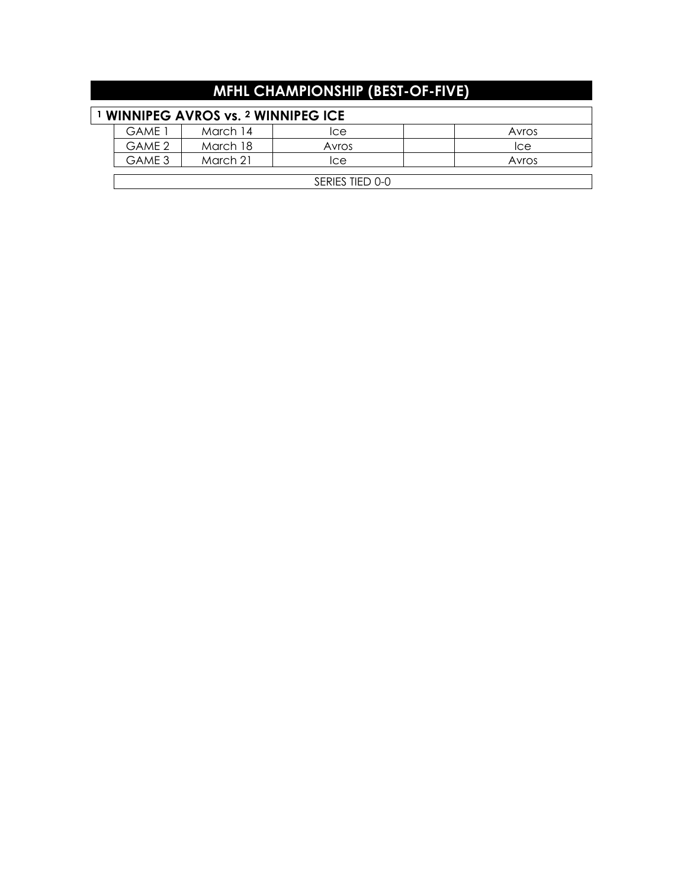| <b>MFHL CHAMPIONSHIP (BEST-OF-FIVE)</b>  |          |       |  |       |  |  |
|------------------------------------------|----------|-------|--|-------|--|--|
| <b>WINNIPEG AVROS vs. 2 WINNIPEG ICE</b> |          |       |  |       |  |  |
| <b>GAME 1</b>                            | March 14 | Ice   |  | Avros |  |  |
| GAME 2                                   | March 18 | Avros |  | Ice   |  |  |
| GAME 3                                   | March 21 | Ice   |  | Avros |  |  |
| SERIES TIED 0-0                          |          |       |  |       |  |  |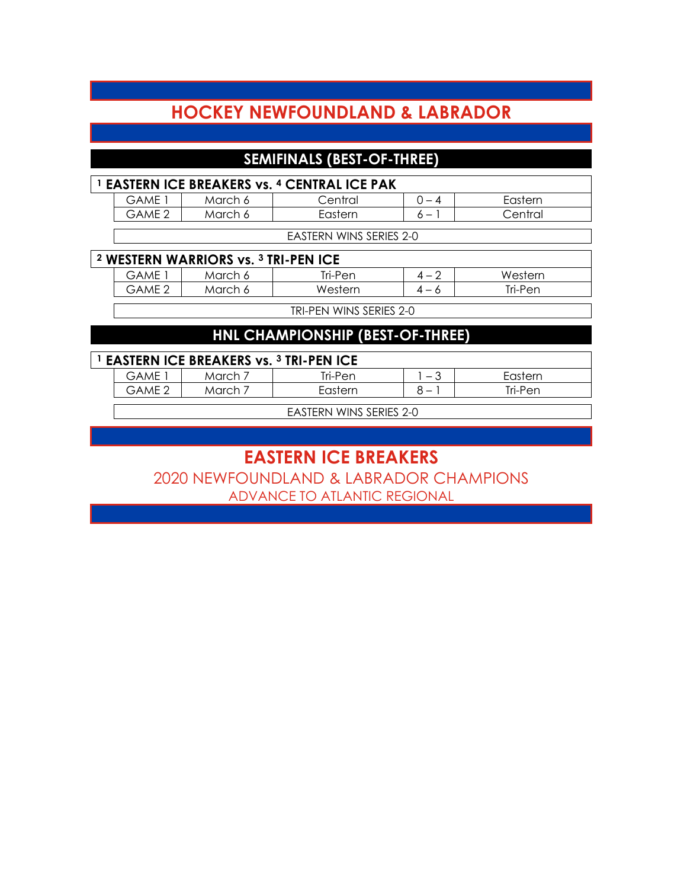### **HOCKEY NEWFOUNDLAND & LABRADOR**

#### **SEMIFINALS (BEST-OF-THREE)**

| <sup>1</sup> EASTERN ICE BREAKERS vs. 4 CENTRAL ICE PAK |         |         |  |         |  |  |
|---------------------------------------------------------|---------|---------|--|---------|--|--|
| GAME                                                    | March 6 | Central |  | Eastern |  |  |
| GAMF 2                                                  | March 6 | Eastern |  | Central |  |  |
|                                                         |         |         |  |         |  |  |

EASTERN WINS SERIES 2-0

#### **<sup>2</sup> WESTERN WARRIORS vs. <sup>3</sup> TRI-PEN ICE**

| GAME   | March 6 | Tri-Pen | 4<br>$\overline{\phantom{0}}$ | Western |
|--------|---------|---------|-------------------------------|---------|
| GAME 2 | March 6 | Western | $4 -$                         | Tri-Pen |
|        |         |         |                               |         |

TRI-PEN WINS SERIES 2-0

#### **HNL CHAMPIONSHIP (BEST-OF-THREE)**

#### **<sup>1</sup> EASTERN ICE BREAKERS vs. <sup>3</sup> TRI-PEN ICE**

| $\blacksquare$           |                      |         |                          |         |  |  |
|--------------------------|----------------------|---------|--------------------------|---------|--|--|
| $\neg$ $\forall$         | 'VICI.               | 'r⊩Per⊾ | $\overline{\phantom{0}}$ |         |  |  |
| $\overline{\phantom{a}}$ | $\sim$ rok<br>'VICI. |         | $\overline{\phantom{0}}$ | Tri-Pen |  |  |
|                          |                      |         |                          |         |  |  |

EASTERN WINS SERIES 2-0

## **EASTERN ICE BREAKERS**

2020 NEWFOUNDLAND & LABRADOR CHAMPIONS ADVANCE TO ATLANTIC REGIONAL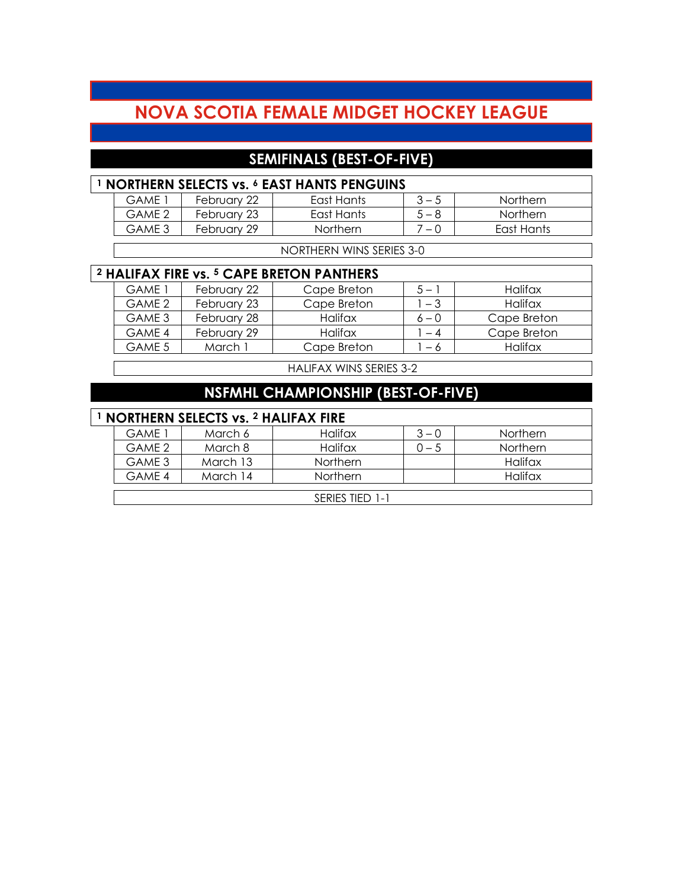### **NOVA SCOTIA FEMALE MIDGET HOCKEY LEAGUE**

### **SEMIFINALS (BEST-OF-FIVE)**

| <b>NORTHERN SELECTS vs. 6 EAST HANTS PENGUINS</b> |             |                 |         |            |  |  |
|---------------------------------------------------|-------------|-----------------|---------|------------|--|--|
| GAMF 1                                            | February 22 | East Hants      | $3 - 5$ | Northern   |  |  |
| GAME 2                                            | February 23 | East Hants      | $5 - 8$ | Northern   |  |  |
| GAME 3                                            | February 29 | <b>Northern</b> | 7 — N   | East Hants |  |  |
|                                                   |             |                 |         |            |  |  |

NORTHERN WINS SERIES 3-0

### **<sup>2</sup> HALIFAX FIRE vs. <sup>5</sup> CAPE BRETON PANTHERS**

| GAMF 1 | February 22 | Cape Breton    | $5-$    | Halifax     |
|--------|-------------|----------------|---------|-------------|
| GAME 2 | February 23 | Cape Breton    | $-3$    | Halifax     |
| GAME 3 | February 28 | <b>Halifax</b> | $6 - 0$ | Cape Breton |
| GAMF 4 | February 29 | Halifax        | $-4$    | Cape Breton |
| GAME 5 | March 1     | Cape Breton    | - 6     | Halifax     |

HALIFAX WINS SERIES 3-2

### **NSFMHL CHAMPIONSHIP (BEST-OF-FIVE)**

#### **<sup>1</sup> NORTHERN SELECTS vs. <sup>2</sup> HALIFAX FIRE**

| .      |          |                 |         |                 |  |  |
|--------|----------|-----------------|---------|-----------------|--|--|
| GAME 1 | March 6  | Halifax         | $3 - 0$ | <b>Northern</b> |  |  |
| GAME 2 | March 8  | <b>Halifax</b>  | 0 — 5   | <b>Northern</b> |  |  |
| GAME 3 | March 13 | <b>Northern</b> |         | Halifax         |  |  |
| GAME 4 | March 14 | <b>Northern</b> |         | Halifax         |  |  |
|        |          |                 |         |                 |  |  |
|        |          | SERIES TIED 1-1 |         |                 |  |  |